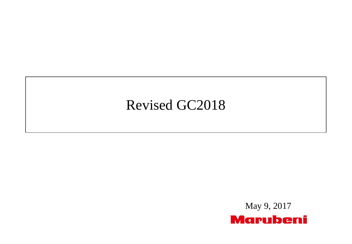# Revised GC2018

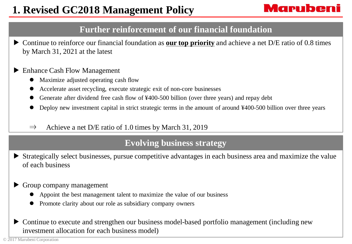## Marubeni

### **Further reinforcement of our financial foundation**

▶ Continue to reinforce our financial foundation as **our top priority** and achieve a net D/E ratio of 0.8 times by March 31, 2021 at the latest

#### ▶ Enhance Cash Flow Management

- Maximize adjusted operating cash flow
- Accelerate asset recycling, execute strategic exit of non-core businesses
- Generate after dividend free cash flow of ¥400-500 billion (over three years) and repay debt
- Deploy new investment capital in strict strategic terms in the amount of around ¥400-500 billion over three years
- $\Rightarrow$  Achieve a net D/E ratio of 1.0 times by March 31, 2019

### **Evolving business strategy**

Strategically select businesses, pursue competitive advantages in each business area and maximize the value of each business

#### ▶ Group company management

- Appoint the best management talent to maximize the value of our business
- Promote clarity about our role as subsidiary company owners
- ▶ Continue to execute and strengthen our business model-based portfolio management (including new investment allocation for each business model)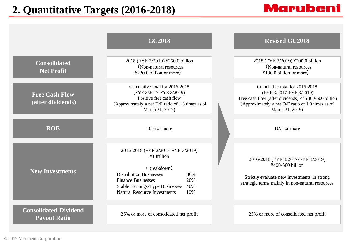### **2. Quantitative Targets (2016-2018)**

# **Marubeni**

|                                                     | <b>GC2018</b>                                                                                                                                                                                                                               | <b>Revised GC2018</b>                                                                                                                                                                     |
|-----------------------------------------------------|---------------------------------------------------------------------------------------------------------------------------------------------------------------------------------------------------------------------------------------------|-------------------------------------------------------------------------------------------------------------------------------------------------------------------------------------------|
| <b>Consolidated</b><br><b>Net Profit</b>            | 2018 (FYE 3/2019) ¥250.0 billion<br>(Non-natural resources<br>$\text{\textdegree}230.0$ billion or more)                                                                                                                                    | 2018 (FYE 3/2019) ¥200.0 billion<br>(Non-natural resources)<br>$\text{\textsterling}180.0$ billion or more)                                                                               |
| <b>Free Cash Flow</b><br>(after dividends)          | Cumulative total for 2016-2018<br>(FYE 3/2017-FYE 3/2019)<br>Positive free cash flow<br>(Approximately a net D/E ratio of 1.3 times as of<br>March 31, 2019)                                                                                | Cumulative total for 2016-2018<br>(FYE 3/2017-FYE 3/2019)<br>Free cash flow (after dividends) of ¥400-500 billion<br>(Approximately a net D/E ratio of 1.0 times as of<br>March 31, 2019) |
| <b>ROE</b>                                          | 10% or more                                                                                                                                                                                                                                 | 10% or more                                                                                                                                                                               |
| <b>New Investments</b>                              | 2016-2018 (FYE 3/2017-FYE 3/2019)<br>¥1 trillion<br>(Breakdown)<br><b>Distribution Businesses</b><br>30%<br><b>Finance Businesses</b><br>20%<br><b>Stable Earnings-Type Businesses</b><br>40%<br><b>Natural Resource Investments</b><br>10% | 2016-2018 (FYE 3/2017-FYE 3/2019)<br>¥400-500 billion<br>Strictly evaluate new investments in strong<br>strategic terms mainly in non-natural resources                                   |
| <b>Consolidated Dividend</b><br><b>Payout Ratio</b> | 25% or more of consolidated net profit                                                                                                                                                                                                      | 25% or more of consolidated net profit                                                                                                                                                    |